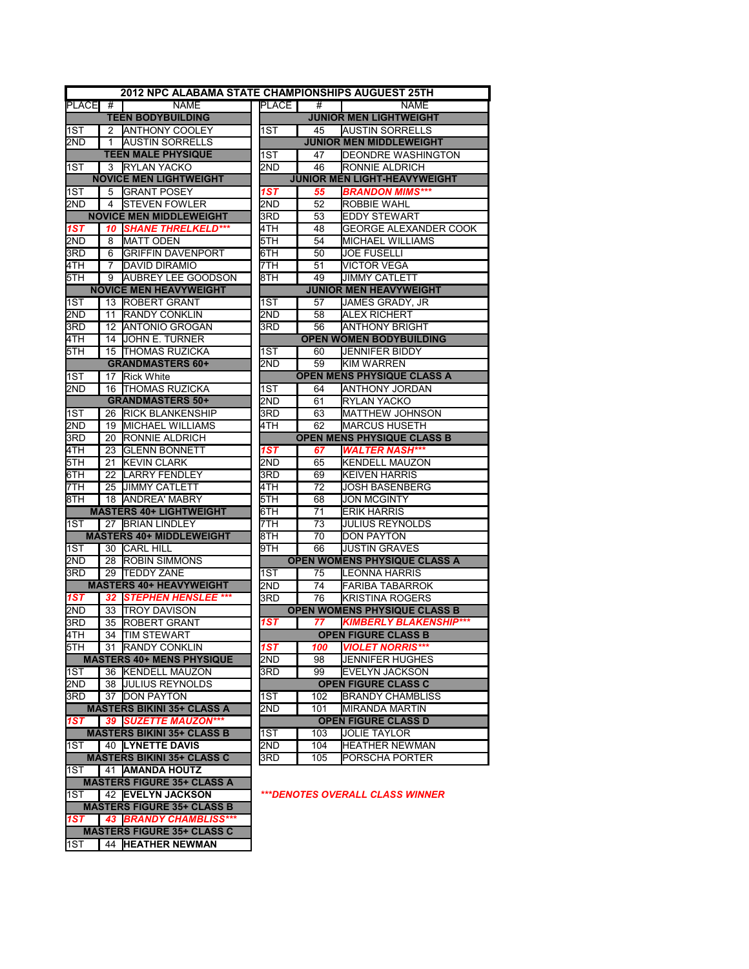|                  |              | 2012 NPC ALABAMA STATE CHAMPIONSHIPS AUGUEST 25TH |              |          |                                             |
|------------------|--------------|---------------------------------------------------|--------------|----------|---------------------------------------------|
| <b>PLACE</b>     | #            | <b>NAME</b>                                       | <b>PLACE</b> | #        | <b>NAME</b>                                 |
|                  |              | <b>TEEN BODYBUILDING</b>                          |              |          | <b>JUNIOR MEN LIGHTWEIGHT</b>               |
| 1ST              | 2            | <b>ANTHONY COOLEY</b>                             | 1ST          | 45       | <b>AUSTIN SORRELLS</b>                      |
| 2ND              | $\mathbf{1}$ | <b>AUSTIN SORRELLS</b>                            |              |          | <b>JUNIOR MEN MIDDLEWEIGHT</b>              |
|                  |              | <b>TEEN MALE PHYSIQUE</b>                         | 1ST          | 47       | DEONDRE WASHINGTON                          |
| 1ST              | 3            | <b>RYLAN YACKO</b>                                | 2ND          | 46       | RONNIE ALDRICH                              |
|                  |              | <b>NOVICE MEN LIGHTWEIGHT</b>                     |              |          | <b>JUNIOR MEN LIGHT-HEAVYWEIGHT</b>         |
| 1ST              | 5            | <b>GRANT POSEY</b>                                | 1ST          | 55       | <b>BRANDON MIMS***</b>                      |
| 2ND              | 4            | <b>STEVEN FOWLER</b>                              | 2ND          | 52       | <b>ROBBIE WAHL</b>                          |
|                  |              | <b>NOVICE MEN MIDDLEWEIGHT</b>                    | 3RD          | 53       | <b>EDDY STEWART</b>                         |
| 1ST              | 10           | <b>SHANE THRELKELD***</b>                         | 4TH          | 48       | <b>GEORGE ALEXANDER COOK</b>                |
| 2ND              | 8            | <b>MATT ODEN</b>                                  | 5TH          | 54       | <b>MICHAEL WILLIAMS</b>                     |
| 3RD              | 6            | <b>GRIFFIN DAVENPORT</b>                          | 6TH          | 50       | <b>JOE FUSELLI</b>                          |
| 4TH              | 7            | <b>DAVID DIRAMIO</b>                              | 7TH          | 51       | <b>VICTOR VEGA</b>                          |
| 5TH              | 9            | AUBREY LEE GOODSON                                | 8TH          | 49       | JIMMY CATLETT                               |
|                  |              | <b>NOVICE MEN HEAVYWEIGHT</b>                     |              |          | <b>JUNIOR MEN HEAVYWEIGHT</b>               |
| 1ST              | 13           | <b>ROBERT GRANT</b>                               | 1ST          | 57       | JAMES GRADY, JR                             |
| 2ND              | 11           | <b>RANDY CONKLIN</b>                              | 2ND          | 58       | <b>ALEX RICHERT</b>                         |
| 3RD              | 12           | <b>ANTONIO GROGAN</b>                             | 3RD          | 56       | <b>ANTHONY BRIGHT</b>                       |
| 4TH              |              | 14 JOHN E. TURNER                                 |              |          | <b>OPEN WOMEN BODYBUILDING</b>              |
| 5TH              | 15           | <b>THOMAS RUZICKA</b>                             | 1ST          | 60       | <b>JENNIFER BIDDY</b>                       |
|                  |              | <b>GRANDMASTERS 60+</b>                           | 2ND          | 59       | <b>KIM WARREN</b>                           |
| 1ST              | 17           | <b>Rick White</b>                                 |              |          | OPEN MENS PHYSIQUE CLASS A                  |
| 2ND              | 16           | <b>THOMAS RUZICKA</b><br><b>GRANDMASTERS 50+</b>  | 1ST          | 64       | <b>ANTHONY JORDAN</b><br><b>RYLAN YACKO</b> |
|                  |              | 26 RICK BLANKENSHIP                               | 2ND<br>3RD   | 61<br>63 | <b>MATTHEW JOHNSON</b>                      |
| 1ST<br>2ND       | 19           | <b>MICHAEL WILLIAMS</b>                           | 4TH          | 62       | <b>I</b> MARCUS HUSETH                      |
| 3RD              |              | 20 RONNIE ALDRICH                                 |              |          | OPEN MENS PHYSIQUE CLASS B                  |
| 4TH              | 23           | <b>GLENN BONNETT</b>                              | 1ST          | 67       | <b>WALTER NASH***</b>                       |
| 5TH              | 21           | <b>KEVIN CLARK</b>                                | 2ND          | 65       | <b>KENDELL MAUZON</b>                       |
| 6TH              | 22           | <b>LARRY FENDLEY</b>                              | 3RD          | 69       | <b>KEIVEN HARRIS</b>                        |
| 7TH              | 25           | <b>JIMMY CATLETT</b>                              | 4TH          | 72       | <b>JOSH BASENBERG</b>                       |
| 8TH              | 18           | <b>ANDREA' MABRY</b>                              | 5TH          | 68       | <b>JON MCGINTY</b>                          |
|                  |              | <b>MASTERS 40+ LIGHTWEIGHT</b>                    | 6TH          | 71       | <b>ERIK HARRIS</b>                          |
| 1ST              |              | 27 BRIAN LINDLEY                                  | 7TH          | 73       | <b>JULIUS REYNOLDS</b>                      |
|                  |              | <b>MASTERS 40+ MIDDLEWEIGHT</b>                   | 8TH          | 70       | <b>DON PAYTON</b>                           |
| 1ST              | 30           | <b>CARL HILL</b>                                  | 9TH          | 66       | <b>JUSTIN GRAVES</b>                        |
| 2ND              | 28           | <b>ROBIN SIMMONS</b>                              |              |          | <b>OPEN WOMENS PHYSIQUE CLASS A</b>         |
| 3RD              | 29           | <b>TEDDY ZANE</b>                                 | 1ST          | 75       | LEONNA HARRIS                               |
|                  |              | <b>MASTERS 40+ HEAVYWEIGHT</b>                    | 2ND          | 74       | <b>FARIBA TABARROK</b>                      |
| 1ST              |              | 32 STEPHEN HENSLEE ***                            | 3RD          | 76       | <b>KRISTINA ROGERS</b>                      |
| 2ND              | 33           | <b>TROY DAVISON</b>                               |              |          | <b>OPEN WOMENS PHYSIQUE CLASS B</b>         |
| 3RD              | 35           | <b>ROBERT GRANT</b>                               | 1ST          | 77.      | <b>KIMBERLY BLAKENSHIP***</b>               |
| 4TH              |              | 34 TIM STEWART                                    |              |          | <b>OPEN FIGURE CLASS B</b>                  |
| 5TH              |              | 31 RANDY CONKLIN                                  | 1ST          | 100      | <b>VIOLET NORRIS***</b>                     |
|                  |              | <b>MASTERS 40+ MENS PHYSIQUE</b>                  | 2ND          | 98       | JENNIFER HUGHES                             |
| 1ST              |              | 36 KENDELL MAUZON                                 | 3RD          | 99       | <b>EVELYN JACKSON</b>                       |
| 2ND              |              | 38 JULIUS REYNOLDS                                |              |          | <b>OPEN FIGURE CLASS C</b>                  |
| 3RD              |              | 37 DON PAYTON                                     | 1ST          | 102      | <b>BRANDY CHAMBLISS</b>                     |
|                  |              | <b>MASTERS BIKINI 35+ CLASS A</b>                 | 2ND          | 101      | MIRANDA MARTIN                              |
| 1ST -            |              | 39 SUZETTE MAUZON***                              |              |          | <b>OPEN FIGURE CLASS D</b>                  |
|                  |              | <b>MASTERS BIKINI 35+ CLASS B</b>                 | 1ST          | 103      | <b>JOLIE TAYLOR</b>                         |
| 1ST              |              | <b>40 LYNETTE DAVIS</b>                           | 2ND          | 104      | <b>HEATHER NEWMAN</b>                       |
|                  |              | <b>MASTERS BIKINI 35+ CLASS C</b>                 | 3RD          | 105      | PORSCHA PORTER                              |
| $1S\overline{T}$ |              | 41 AMANDA HOUTZ                                   |              |          |                                             |
|                  |              | <b>MASTERS FIGURE 35+ CLASS A</b>                 |              |          |                                             |
| 1ST              |              | 42 EVELYN JACKSON                                 |              |          | ***DENOTES OVERALL CLASS WINNER             |
|                  |              | <b>MASTERS FIGURE 35+ CLASS B</b>                 |              |          |                                             |
| 1ST              |              | 43 BRANDY CHAMBLISS***                            |              |          |                                             |
|                  |              | <b>MASTERS FIGURE 35+ CLASS C</b>                 |              |          |                                             |

1ST 44 **HEATHER NEWMAN**